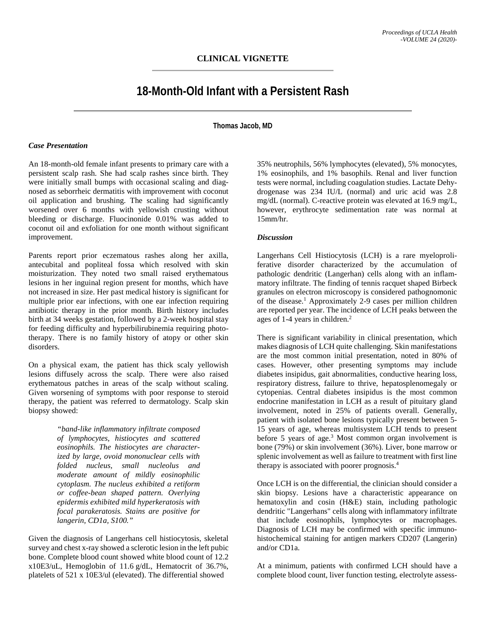# **18-Month-Old Infant with a Persistent Rash**

**Thomas Jacob, MD**

#### *Case Presentation*

An 18-month-old female infant presents to primary care with a persistent scalp rash. She had scalp rashes since birth. They were initially small bumps with occasional scaling and diagnosed as seborrheic dermatitis with improvement with coconut oil application and brushing. The scaling had significantly worsened over 6 months with yellowish crusting without bleeding or discharge. Fluocinonide 0.01% was added to coconut oil and exfoliation for one month without significant improvement.

Parents report prior eczematous rashes along her axilla, antecubital and popliteal fossa which resolved with skin moisturization. They noted two small raised erythematous lesions in her inguinal region present for months, which have not increased in size. Her past medical history is significant for multiple prior ear infections, with one ear infection requiring antibiotic therapy in the prior month. Birth history includes birth at 34 weeks gestation, followed by a 2-week hospital stay for feeding difficulty and hyperbilirubinemia requiring phototherapy. There is no family history of atopy or other skin disorders.

On a physical exam, the patient has thick scaly yellowish lesions diffusely across the scalp. There were also raised erythematous patches in areas of the scalp without scaling. Given worsening of symptoms with poor response to steroid therapy, the patient was referred to dermatology. Scalp skin biopsy showed:

> *"band-like inflammatory infiltrate composed of lymphocytes, histiocytes and scattered eosinophils. The histiocytes are characterized by large, ovoid mononuclear cells with folded nucleus, small nucleolus and moderate amount of mildly eosinophilic cytoplasm. The nucleus exhibited a retiform or coffee-bean shaped pattern. Overlying epidermis exhibited mild hyperkeratosis with focal parakeratosis. Stains are positive for langerin, CD1a, S100."*

Given the diagnosis of Langerhans cell histiocytosis, skeletal survey and chest x-ray showed a sclerotic lesion in the left pubic bone. Complete blood count showed white blood count of 12.2 x10E3/uL, Hemoglobin of 11.6 g/dL, Hematocrit of 36.7%, platelets of 521 x 10E3/ul (elevated). The differential showed

35% neutrophils, 56% lymphocytes (elevated), 5% monocytes, 1% eosinophils, and 1% basophils. Renal and liver function tests were normal, including coagulation studies[. Lactate Dehy](https://medlineplus.gov/lab-tests/lactate-dehydrogenase-ldh-test/)[drogenase](https://medlineplus.gov/lab-tests/lactate-dehydrogenase-ldh-test/) was 234 IU/L (normal) and uric acid was 2.8 mg/dL (normal). C-reactive protein was elevated at 16.9 mg/L, however, erythrocyte sedimentation rate was normal at 15mm/hr.

### *Discussion*

Langerhans Cell Histiocytosis (LCH) is a rare myeloproliferative disorder characterized by the accumulation of pathologic dendritic (Langerhan) cells along with an inflammatory infiltrate. The finding of tennis racquet shaped Birbeck granules on electron microscopy is considered pathognomonic of the disease.<sup>1</sup> Approximately 2-9 cases per million children are reported per year. The incidence of LCH peaks between the ages of 1-4 years in children. 2

There is significant variability in clinical presentation, which makes diagnosis of LCH quite challenging. Skin manifestations are the most common initial presentation, noted in 80% of cases. However, other presenting symptoms may include diabetes insipidus, gait abnormalities, conductive hearing loss, respiratory distress, failure to thrive, hepatosplenomegaly or cytopenias. Central diabetes insipidus is the most common endocrine manifestation in LCH as a result of pituitary gland involvement, noted in 25% of patients overall. Generally, patient with isolated bone lesions typically present between 5- 15 years of age, whereas multisystem LCH tends to present before 5 years of age.3 Most common organ involvement is bone (79%) or skin involvement (36%). Liver, bone marrow or splenic involvement as well as failure to treatment with first line therapy is associated with poorer prognosis.4

Once LCH is on the differential, the clinician should consider a skin biopsy. Lesions have a characteristic appearance on hematoxylin and cosin (H&E) stain, including pathologic dendritic "Langerhans" cells along with inflammatory infiltrate that include eosinophils, lymphocytes or macrophages. Diagnosis of LCH may be confirmed with specific immunohistochemical staining for antigen markers CD207 (Langerin) and/or CD1a.

At a minimum, patients with confirmed LCH should have a complete blood count, liver function testing, electrolyte assess